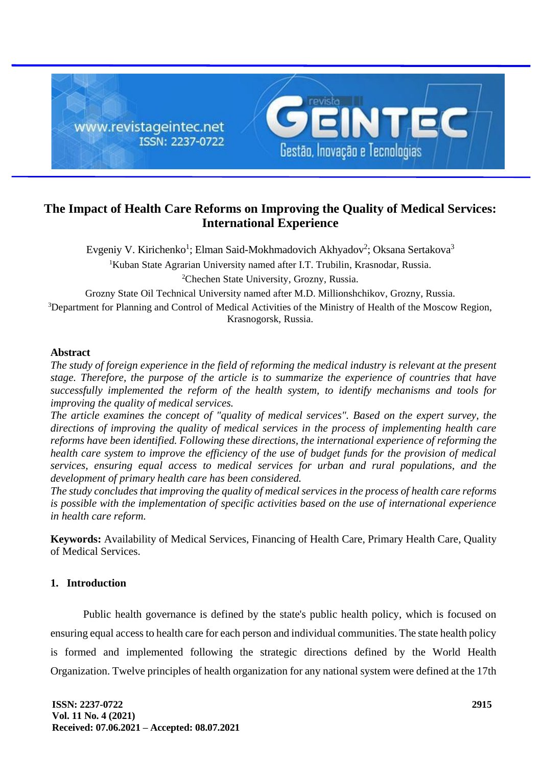

# **The Impact of Health Care Reforms on Improving the Quality of Medical Services: International Experience**

Evgeniy V. Kirichenko<sup>1</sup>; Elman Said-Mokhmadovich Akhyadov<sup>2</sup>; Oksana Sertakova<sup>3</sup> <sup>1</sup>Kuban State Agrarian University named after I.T. Trubilin, Krasnodar, Russia. <sup>2</sup>Chechen State University, Grozny, Russia.

Grozny State Oil Technical University named after M.D. Millionshchikov, Grozny, Russia.

<sup>3</sup>Department for Planning and Control of Medical Activities of the Ministry of Health of the Moscow Region, Krasnogorsk, Russia.

### **Abstract**

*The study of foreign experience in the field of reforming the medical industry is relevant at the present stage. Therefore, the purpose of the article is to summarize the experience of countries that have successfully implemented the reform of the health system, to identify mechanisms and tools for improving the quality of medical services.*

*The article examines the concept of "quality of medical services". Based on the expert survey, the directions of improving the quality of medical services in the process of implementing health care reforms have been identified. Following these directions, the international experience of reforming the health care system to improve the efficiency of the use of budget funds for the provision of medical services, ensuring equal access to medical services for urban and rural populations, and the development of primary health care has been considered.*

*The study concludes that improving the quality of medical services in the process of health care reforms is possible with the implementation of specific activities based on the use of international experience in health care reform.*

**Keywords:** Availability of Medical Services, Financing of Health Care, Primary Health Care, Quality of Medical Services.

# **1. Introduction**

Public health governance is defined by the state's public health policy, which is focused on ensuring equal access to health care for each person and individual communities. The state health policy is formed and implemented following the strategic directions defined by the World Health Organization. Twelve principles of health organization for any national system were defined at the 17th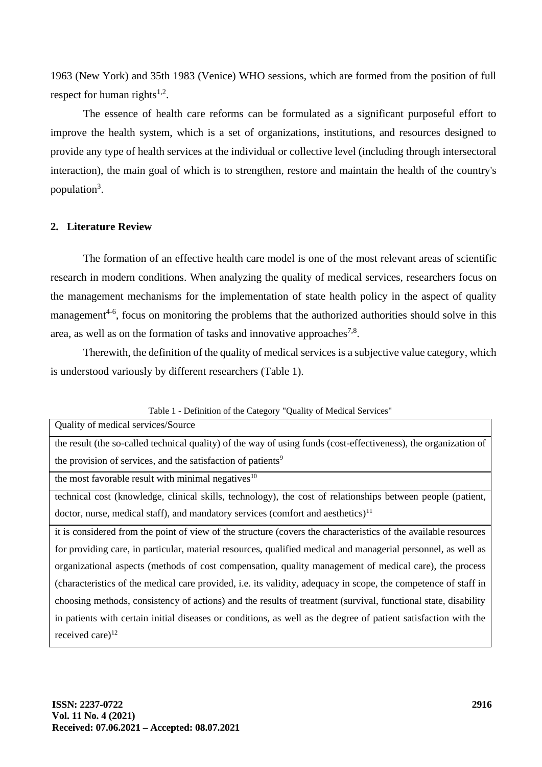1963 (New York) and 35th 1983 (Venice) WHO sessions, which are formed from the position of full respect for human rights $1,2$ .

The essence of health care reforms can be formulated as a significant purposeful effort to improve the health system, which is a set of organizations, institutions, and resources designed to provide any type of health services at the individual or collective level (including through intersectoral interaction), the main goal of which is to strengthen, restore and maintain the health of the country's population<sup>3</sup>.

### **2. Literature Review**

The formation of an effective health care model is one of the most relevant areas of scientific research in modern conditions. When analyzing the quality of medical services, researchers focus on the management mechanisms for the implementation of state health policy in the aspect of quality management<sup>4-6</sup>, focus on monitoring the problems that the authorized authorities should solve in this area, as well as on the formation of tasks and innovative approaches<sup>7,8</sup>.

Therewith, the definition of the quality of medical services is a subjective value category, which is understood variously by different researchers (Table 1).

| Table 1 - Definition of the Category Quality of Medical Services                                                 |  |  |
|------------------------------------------------------------------------------------------------------------------|--|--|
| Quality of medical services/Source                                                                               |  |  |
| the result (the so-called technical quality) of the way of using funds (cost-effectiveness), the organization of |  |  |
| the provision of services, and the satisfaction of patients <sup>9</sup>                                         |  |  |
| the most favorable result with minimal negatives <sup>10</sup>                                                   |  |  |
| technical cost (knowledge, clinical skills, technology), the cost of relationships between people (patient,      |  |  |
| doctor, nurse, medical staff), and mandatory services (comfort and aesthetics) $11$                              |  |  |
| it is considered from the point of view of the structure (covers the characteristics of the available resources  |  |  |
| for providing care, in particular, material resources, qualified medical and managerial personnel, as well as    |  |  |
| organizational aspects (methods of cost compensation, quality management of medical care), the process           |  |  |
| (characteristics of the medical care provided, i.e. its validity, adequacy in scope, the competence of staff in  |  |  |
| choosing methods, consistency of actions) and the results of treatment (survival, functional state, disability   |  |  |
| in patients with certain initial diseases or conditions, as well as the degree of patient satisfaction with the  |  |  |
| received care) $^{12}$                                                                                           |  |  |

Table 1 - Definition of the Category "Quality of Medical Services"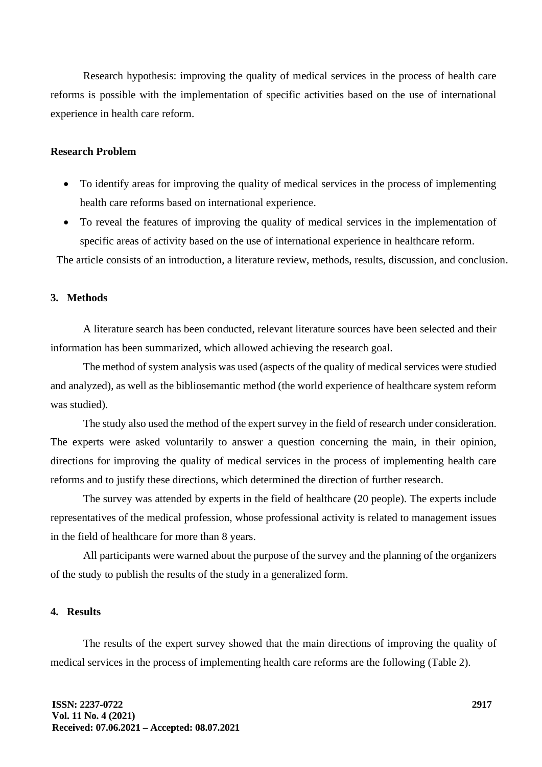Research hypothesis: improving the quality of medical services in the process of health care reforms is possible with the implementation of specific activities based on the use of international experience in health care reform.

#### **Research Problem**

- To identify areas for improving the quality of medical services in the process of implementing health care reforms based on international experience.
- To reveal the features of improving the quality of medical services in the implementation of specific areas of activity based on the use of international experience in healthcare reform.

The article consists of an introduction, a literature review, methods, results, discussion, and conclusion.

## **3. Methods**

A literature search has been conducted, relevant literature sources have been selected and their information has been summarized, which allowed achieving the research goal.

The method of system analysis was used (aspects of the quality of medical services were studied and analyzed), as well as the bibliosemantic method (the world experience of healthcare system reform was studied).

The study also used the method of the expert survey in the field of research under consideration. The experts were asked voluntarily to answer a question concerning the main, in their opinion, directions for improving the quality of medical services in the process of implementing health care reforms and to justify these directions, which determined the direction of further research.

The survey was attended by experts in the field of healthcare (20 people). The experts include representatives of the medical profession, whose professional activity is related to management issues in the field of healthcare for more than 8 years.

All participants were warned about the purpose of the survey and the planning of the organizers of the study to publish the results of the study in a generalized form.

#### **4. Results**

The results of the expert survey showed that the main directions of improving the quality of medical services in the process of implementing health care reforms are the following (Table 2).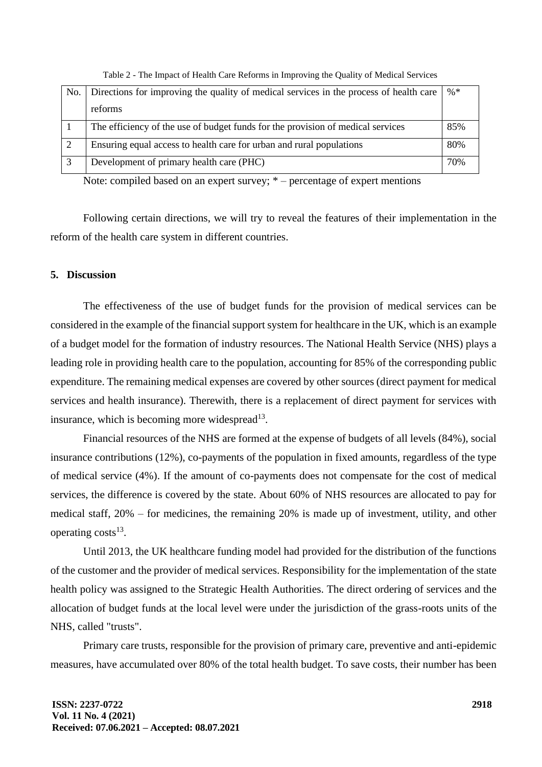| No. | Directions for improving the quality of medical services in the process of health care | $\% *$ |
|-----|----------------------------------------------------------------------------------------|--------|
|     | reforms                                                                                |        |
|     | The efficiency of the use of budget funds for the provision of medical services        | 85%    |
|     | Ensuring equal access to health care for urban and rural populations                   | 80%    |
|     | Development of primary health care (PHC)                                               | 70%    |

Table 2 - The Impact of Health Care Reforms in Improving the Quality of Medical Services

Note: compiled based on an expert survey; \* – percentage of expert mentions

Following certain directions, we will try to reveal the features of their implementation in the reform of the health care system in different countries.

### **5. Discussion**

The effectiveness of the use of budget funds for the provision of medical services can be considered in the example of the financial support system for healthcare in the UK, which is an example of a budget model for the formation of industry resources. The National Health Service (NHS) plays a leading role in providing health care to the population, accounting for 85% of the corresponding public expenditure. The remaining medical expenses are covered by other sources (direct payment for medical services and health insurance). Therewith, there is a replacement of direct payment for services with insurance, which is becoming more widespread<sup>13</sup>.

Financial resources of the NHS are formed at the expense of budgets of all levels (84%), social insurance contributions (12%), co-payments of the population in fixed amounts, regardless of the type of medical service (4%). If the amount of co-payments does not compensate for the cost of medical services, the difference is covered by the state. About 60% of NHS resources are allocated to pay for medical staff, 20% – for medicines, the remaining 20% is made up of investment, utility, and other operating costs<sup>13</sup>.

Until 2013, the UK healthcare funding model had provided for the distribution of the functions of the customer and the provider of medical services. Responsibility for the implementation of the state health policy was assigned to the Strategic Health Authorities. The direct ordering of services and the allocation of budget funds at the local level were under the jurisdiction of the grass-roots units of the NHS, called "trusts".

Primary care trusts, responsible for the provision of primary care, preventive and anti-epidemic measures, have accumulated over 80% of the total health budget. To save costs, their number has been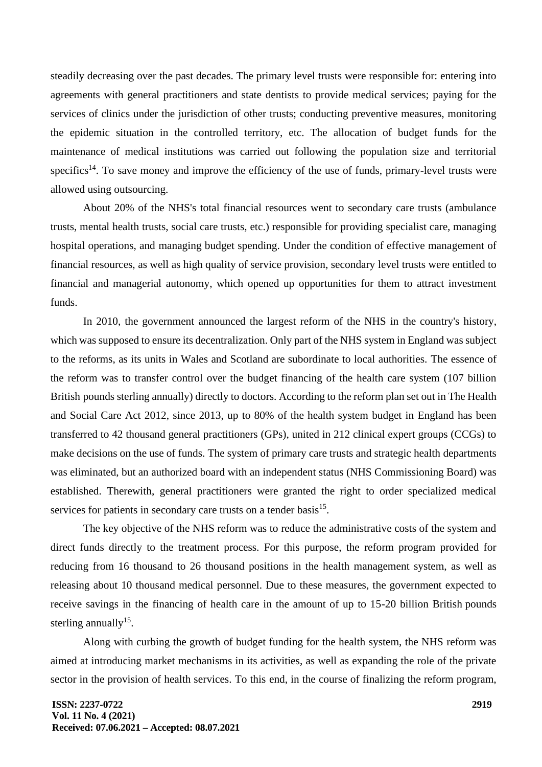steadily decreasing over the past decades. The primary level trusts were responsible for: entering into agreements with general practitioners and state dentists to provide medical services; paying for the services of clinics under the jurisdiction of other trusts; conducting preventive measures, monitoring the epidemic situation in the controlled territory, etc. The allocation of budget funds for the maintenance of medical institutions was carried out following the population size and territorial specifics<sup>14</sup>. To save money and improve the efficiency of the use of funds, primary-level trusts were allowed using outsourcing.

About 20% of the NHS's total financial resources went to secondary care trusts (ambulance trusts, mental health trusts, social care trusts, etc.) responsible for providing specialist care, managing hospital operations, and managing budget spending. Under the condition of effective management of financial resources, as well as high quality of service provision, secondary level trusts were entitled to financial and managerial autonomy, which opened up opportunities for them to attract investment funds.

In 2010, the government announced the largest reform of the NHS in the country's history, which was supposed to ensure its decentralization. Only part of the NHS system in England was subject to the reforms, as its units in Wales and Scotland are subordinate to local authorities. The essence of the reform was to transfer control over the budget financing of the health care system (107 billion British pounds sterling annually) directly to doctors. According to the reform plan set out in The Health and Social Care Act 2012, since 2013, up to 80% of the health system budget in England has been transferred to 42 thousand general practitioners (GPs), united in 212 clinical expert groups (CCGs) to make decisions on the use of funds. The system of primary care trusts and strategic health departments was eliminated, but an authorized board with an independent status (NHS Commissioning Board) was established. Therewith, general practitioners were granted the right to order specialized medical services for patients in secondary care trusts on a tender basis<sup>15</sup>.

The key objective of the NHS reform was to reduce the administrative costs of the system and direct funds directly to the treatment process. For this purpose, the reform program provided for reducing from 16 thousand to 26 thousand positions in the health management system, as well as releasing about 10 thousand medical personnel. Due to these measures, the government expected to receive savings in the financing of health care in the amount of up to 15-20 billion British pounds sterling annually<sup>15</sup>.

Along with curbing the growth of budget funding for the health system, the NHS reform was aimed at introducing market mechanisms in its activities, as well as expanding the role of the private sector in the provision of health services. To this end, in the course of finalizing the reform program,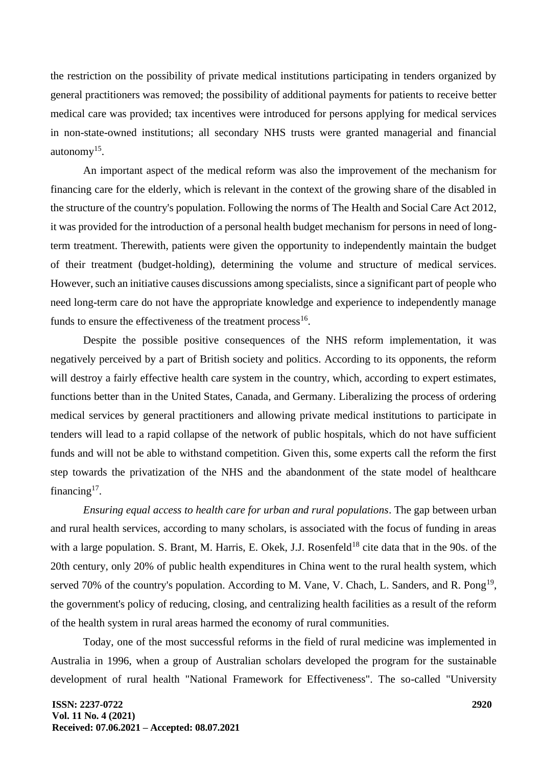the restriction on the possibility of private medical institutions participating in tenders organized by general practitioners was removed; the possibility of additional payments for patients to receive better medical care was provided; tax incentives were introduced for persons applying for medical services in non-state-owned institutions; all secondary NHS trusts were granted managerial and financial autonomy<sup>15</sup>.

An important aspect of the medical reform was also the improvement of the mechanism for financing care for the elderly, which is relevant in the context of the growing share of the disabled in the structure of the country's population. Following the norms of The Health and Social Care Act 2012, it was provided for the introduction of a personal health budget mechanism for persons in need of longterm treatment. Therewith, patients were given the opportunity to independently maintain the budget of their treatment (budget-holding), determining the volume and structure of medical services. However, such an initiative causes discussions among specialists, since a significant part of people who need long-term care do not have the appropriate knowledge and experience to independently manage funds to ensure the effectiveness of the treatment process<sup>16</sup>.

Despite the possible positive consequences of the NHS reform implementation, it was negatively perceived by a part of British society and politics. According to its opponents, the reform will destroy a fairly effective health care system in the country, which, according to expert estimates, functions better than in the United States, Canada, and Germany. Liberalizing the process of ordering medical services by general practitioners and allowing private medical institutions to participate in tenders will lead to a rapid collapse of the network of public hospitals, which do not have sufficient funds and will not be able to withstand competition. Given this, some experts call the reform the first step towards the privatization of the NHS and the abandonment of the state model of healthcare financing<sup>17</sup>.

*Ensuring equal access to health care for urban and rural populations*. The gap between urban and rural health services, according to many scholars, is associated with the focus of funding in areas with a large population. S. Brant, M. Harris, E. Okek, J.J. Rosenfeld<sup>18</sup> cite data that in the 90s. of the 20th century, only 20% of public health expenditures in China went to the rural health system, which served 70% of the country's population. According to M. Vane, V. Chach, L. Sanders, and R. Pong<sup>19</sup>, the government's policy of reducing, closing, and centralizing health facilities as a result of the reform of the health system in rural areas harmed the economy of rural communities.

Today, one of the most successful reforms in the field of rural medicine was implemented in Australia in 1996, when a group of Australian scholars developed the program for the sustainable development of rural health "National Framework for Effectiveness". The so-called "University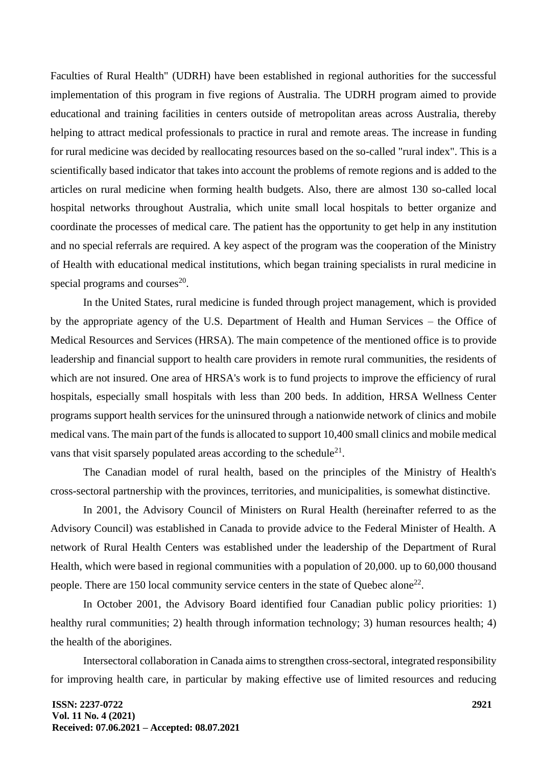Faculties of Rural Health" (UDRH) have been established in regional authorities for the successful implementation of this program in five regions of Australia. The UDRH program aimed to provide educational and training facilities in centers outside of metropolitan areas across Australia, thereby helping to attract medical professionals to practice in rural and remote areas. The increase in funding for rural medicine was decided by reallocating resources based on the so-called "rural index". This is a scientifically based indicator that takes into account the problems of remote regions and is added to the articles on rural medicine when forming health budgets. Also, there are almost 130 so-called local hospital networks throughout Australia, which unite small local hospitals to better organize and coordinate the processes of medical care. The patient has the opportunity to get help in any institution and no special referrals are required. A key aspect of the program was the cooperation of the Ministry of Health with educational medical institutions, which began training specialists in rural medicine in special programs and courses $^{20}$ .

In the United States, rural medicine is funded through project management, which is provided by the appropriate agency of the U.S. Department of Health and Human Services – the Office of Medical Resources and Services (HRSA). The main competence of the mentioned office is to provide leadership and financial support to health care providers in remote rural communities, the residents of which are not insured. One area of HRSA's work is to fund projects to improve the efficiency of rural hospitals, especially small hospitals with less than 200 beds. In addition, HRSA Wellness Center programs support health services for the uninsured through a nationwide network of clinics and mobile medical vans. The main part of the funds is allocated to support 10,400 small clinics and mobile medical vans that visit sparsely populated areas according to the schedule $^{21}$ .

The Canadian model of rural health, based on the principles of the Ministry of Health's cross-sectoral partnership with the provinces, territories, and municipalities, is somewhat distinctive.

In 2001, the Advisory Council of Ministers on Rural Health (hereinafter referred to as the Advisory Council) was established in Canada to provide advice to the Federal Minister of Health. A network of Rural Health Centers was established under the leadership of the Department of Rural Health, which were based in regional communities with a population of 20,000. up to 60,000 thousand people. There are 150 local community service centers in the state of Quebec alone<sup>22</sup>.

In October 2001, the Advisory Board identified four Canadian public policy priorities: 1) healthy rural communities; 2) health through information technology; 3) human resources health; 4) the health of the aborigines.

Intersectoral collaboration in Canada aims to strengthen cross-sectoral, integrated responsibility for improving health care, in particular by making effective use of limited resources and reducing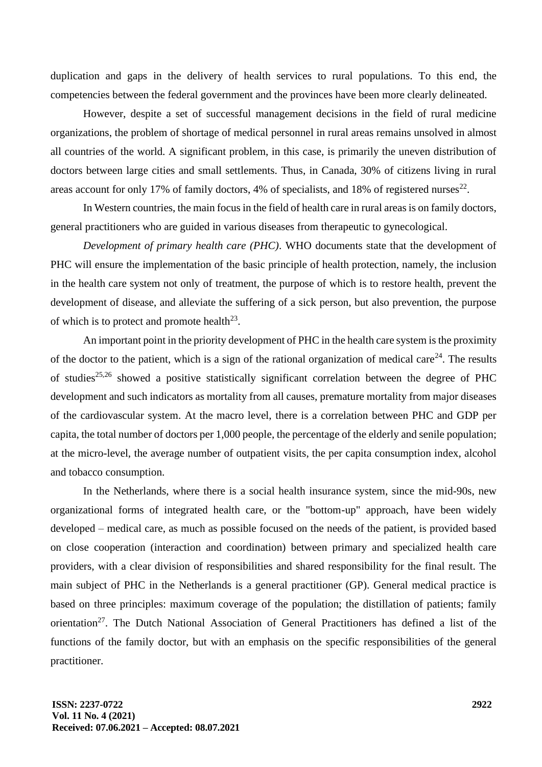duplication and gaps in the delivery of health services to rural populations. To this end, the competencies between the federal government and the provinces have been more clearly delineated.

However, despite a set of successful management decisions in the field of rural medicine organizations, the problem of shortage of medical personnel in rural areas remains unsolved in almost all countries of the world. A significant problem, in this case, is primarily the uneven distribution of doctors between large cities and small settlements. Thus, in Canada, 30% of citizens living in rural areas account for only 17% of family doctors, 4% of specialists, and 18% of registered nurses $^{22}$ .

In Western countries, the main focus in the field of health care in rural areas is on family doctors, general practitioners who are guided in various diseases from therapeutic to gynecological.

*Development of primary health care (PHC)*. WHO documents state that the development of PHC will ensure the implementation of the basic principle of health protection, namely, the inclusion in the health care system not only of treatment, the purpose of which is to restore health, prevent the development of disease, and alleviate the suffering of a sick person, but also prevention, the purpose of which is to protect and promote health $^{23}$ .

An important point in the priority development of PHC in the health care system is the proximity of the doctor to the patient, which is a sign of the rational organization of medical care<sup>24</sup>. The results of studies<sup>25,26</sup> showed a positive statistically significant correlation between the degree of PHC development and such indicators as mortality from all causes, premature mortality from major diseases of the cardiovascular system. At the macro level, there is a correlation between PHC and GDP per capita, the total number of doctors per 1,000 people, the percentage of the elderly and senile population; at the micro-level, the average number of outpatient visits, the per capita consumption index, alcohol and tobacco consumption.

In the Netherlands, where there is a social health insurance system, since the mid-90s, new organizational forms of integrated health care, or the "bottom-up" approach, have been widely developed – medical care, as much as possible focused on the needs of the patient, is provided based on close cooperation (interaction and coordination) between primary and specialized health care providers, with a clear division of responsibilities and shared responsibility for the final result. The main subject of PHC in the Netherlands is a general practitioner (GP). General medical practice is based on three principles: maximum coverage of the population; the distillation of patients; family orientation<sup>27</sup>. The Dutch National Association of General Practitioners has defined a list of the functions of the family doctor, but with an emphasis on the specific responsibilities of the general practitioner.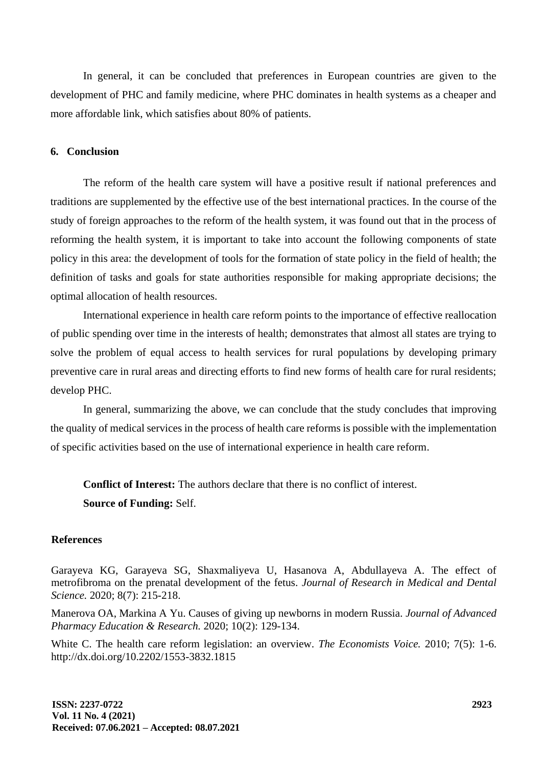In general, it can be concluded that preferences in European countries are given to the development of PHC and family medicine, where PHC dominates in health systems as a cheaper and more affordable link, which satisfies about 80% of patients.

#### **6. Conclusion**

The reform of the health care system will have a positive result if national preferences and traditions are supplemented by the effective use of the best international practices. In the course of the study of foreign approaches to the reform of the health system, it was found out that in the process of reforming the health system, it is important to take into account the following components of state policy in this area: the development of tools for the formation of state policy in the field of health; the definition of tasks and goals for state authorities responsible for making appropriate decisions; the optimal allocation of health resources.

International experience in health care reform points to the importance of effective reallocation of public spending over time in the interests of health; demonstrates that almost all states are trying to solve the problem of equal access to health services for rural populations by developing primary preventive care in rural areas and directing efforts to find new forms of health care for rural residents; develop PHC.

In general, summarizing the above, we can conclude that the study concludes that improving the quality of medical services in the process of health care reforms is possible with the implementation of specific activities based on the use of international experience in health care reform.

**Conflict of Interest:** The authors declare that there is no conflict of interest. **Source of Funding:** Self.

#### **References**

Garayeva KG, Garayeva SG, Shaxmaliyeva U, Hasanova A, Abdullayeva A. The effect of metrofibroma on the prenatal development of the fetus. *Journal of Research in Medical and Dental Science.* 2020; 8(7): 215-218.

Manerova OA, Markina A Yu. Causes of giving up newborns in modern Russia. *Journal of Advanced Pharmacy Education & Research.* 2020; 10(2): 129-134.

White C. The health care reform legislation: an overview. *The Economists Voice.* 2010; 7(5): 1-6. http://dx.doi.org/10.2202/1553-3832.1815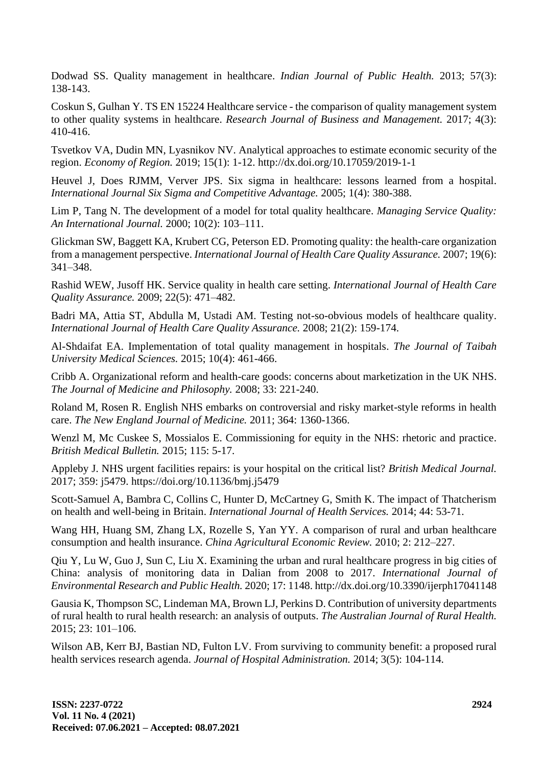Dodwad SS. Quality management in healthcare. *Indian Journal of Public Health.* 2013; 57(3): 138-143.

Coskun S, Gulhan Y. TS EN 15224 Healthcare service - the comparison of quality management system to other quality systems in healthcare. *Research Journal of Business and Management.* 2017; 4(3): 410-416.

Tsvetkov VA, Dudin MN, Lyasnikov NV. Analytical approaches to estimate economic security of the region. *Economy of Region.* 2019; 15(1): 1-12. http://dx.doi.org/10.17059/2019-1-1

Heuvel J, Does RJMM, Verver JPS. Six sigma in healthcare: lessons learned from a hospital. *International Journal Six Sigma and Competitive Advantage.* 2005; 1(4): 380-388.

Lim P, Tang N. The development of a model for total quality healthcare. *Managing Service Quality: An International Journal.* 2000; 10(2): 103–111.

Glickman SW, Baggett KA, Krubert CG, Peterson ED. Promoting quality: the health-care organization from a management perspective. *International Journal of Health Care Quality Assurance.* 2007; 19(6): 341–348.

Rashid WEW, Jusoff HK. Service quality in health care setting. *International Journal of Health Care Quality Assurance.* 2009; 22(5): 471–482.

Badri MA, Attia ST, Abdulla M, Ustadi AM. Testing not-so-obvious models of healthcare quality. *International Journal of Health Care Quality Assurance.* 2008; 21(2): 159-174.

Al-Shdaifat EA. Implementation of total quality management in hospitals. *The Journal of Taibah University Medical Sciences.* 2015; 10(4): 461-466.

Cribb A. Organizational reform and health-care goods: concerns about marketization in the UK NHS. *The Journal of Medicine and Philosophy.* 2008; 33: 221-240.

Roland M, Rosen R. English NHS embarks on controversial and risky market-style reforms in health care. *The New England Journal of Medicine.* 2011; 364: 1360-1366.

Wenzl M, Mc Cuskee S, Mossialos E. Commissioning for equity in the NHS: rhetoric and practice. *British Medical Bulletin.* 2015; 115: 5-17.

Appleby J. NHS urgent facilities repairs: is your hospital on the critical list? *British Medical Journal.* 2017; 359: j5479. https://doi.org/10.1136/bmj.j5479

Scott-Samuel A, Bambra C, Collins C, Hunter D, McCartney G, Smith K. The impact of Thatcherism on health and well-being in Britain. *International Journal of Health Services.* 2014; 44: 53-71.

Wang HH, Huang SM, Zhang LX, Rozelle S, Yan YY. A comparison of rural and urban healthcare consumption and health insurance. *China Agricultural Economic Review.* 2010; 2: 212–227.

Qiu Y, Lu W, Guo J, Sun C, Liu X. Examining the urban and rural healthcare progress in big cities of China: analysis of monitoring data in Dalian from 2008 to 2017. *International Journal of Environmental Research and Public Health.* 2020; 17: 1148. http://dx.doi.org/10.3390/ijerph17041148

Gausia K, Thompson SC, Lindeman MA, Brown LJ, Perkins D. Contribution of university departments of rural health to rural health research: an analysis of outputs. *The Australian Journal of Rural Health.* 2015; 23: 101–106.

Wilson AB, Kerr BJ, Bastian ND, Fulton LV. From surviving to community benefit: a proposed rural health services research agenda. *Journal of Hospital Administration.* 2014; 3(5): 104-114.